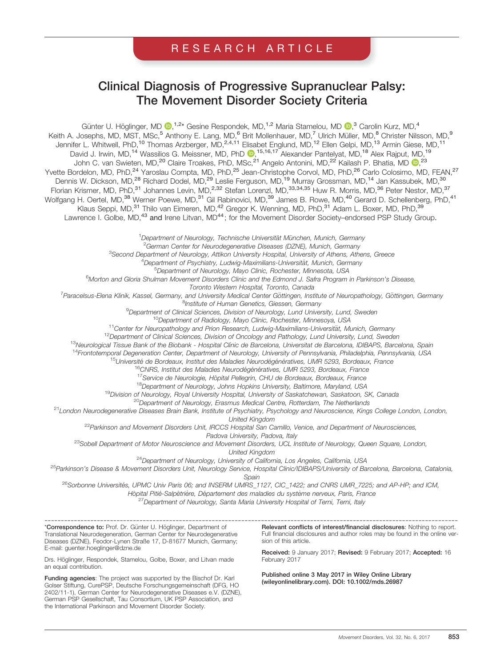# RESEARCH ARTICLE

# Clinical Diagnosis of Progressive Supranuclear Palsy: The Movement Disorder Society Criteria

Günter U. Höglinger[,](http://orcid.org/0000-0001-7587-6187) MD  $\mathbb{D}$ ,<sup>1,2\*</sup> Gesine Respondek, MD,<sup>1,2</sup> Maria Stamelou, MD  $\mathbb{D}$ ,<sup>3</sup> Carolin Kurz, MD,<sup>4</sup> Keith A. Josephs, MD, MST, MSc,<sup>5</sup> Anthony E. Lang, MD,<sup>6</sup> Brit Mollenhauer, MD,<sup>7</sup> Ulrich Müller, MD,<sup>8</sup> Christer Nilsson, MD,<sup>9</sup> Jennifer L. Whitwell, PhD,<sup>10</sup> Thomas Arzberger, MD,<sup>2,4,11</sup> Elisabet Englund, MD,<sup>12</sup> Ellen Gelpi, MD,<sup>13</sup> Armin Giese, MD,<sup>11</sup> David J. Irwin, MD,<sup>14</sup> Wassilios G. Meissner, MD, PhD <sup>10</sup>,<sup>15,16,17</sup> Alexander Pantelyat, MD,<sup>18</sup> Alex Rajput, MD,<sup>19</sup> John C. van Swieten[,](http://orcid.org/0000-0001-8185-286X) MD,<sup>20</sup> Claire Troakes, PhD, MSc,<sup>21</sup> Angelo Antonini, MD,<sup>22</sup> Kailash P. Bhatia, MD <sup>0</sup>,<sup>23</sup> Yvette Bordelon, MD, PhD,<sup>24</sup> Yaroslau Compta, MD, PhD,<sup>25</sup> Jean-Christophe Corvol, MD, PhD,<sup>26</sup> Carlo Colosimo, MD, FEAN,<sup>27</sup> Dennis W. Dickson, MD,<sup>28</sup> Richard Dodel, MD,<sup>29</sup> Leslie Ferguson, MD,<sup>19</sup> Murray Grossman, MD,<sup>14</sup> Jan Kassubek, MD,<sup>30</sup> Florian Krismer, MD, PhD,<sup>31</sup> Johannes Levin, MD,<sup>2,32</sup> Stefan Lorenzl, MD,<sup>33,34,35</sup> Huw R. Morris, MD,<sup>36</sup> Peter Nestor, MD,<sup>37</sup> Wolfgang H. Oertel, MD,<sup>38</sup> Werner Poewe, MD,<sup>31</sup> Gil Rabinovici, MD,<sup>39</sup> James B. Rowe, MD,<sup>40</sup> Gerard D. Schellenberg, PhD,<sup>41</sup> Klaus Seppi, MD,<sup>31</sup> Thilo van Eimeren, MD,<sup>42</sup> Gregor K. Wenning, MD, PhD,<sup>31</sup> Adam L. Boxer, MD, PhD,<sup>39</sup> Lawrence I. Golbe, MD,<sup>43</sup> and Irene Litvan, MD<sup>44</sup>; for the Movement Disorder Society–endorsed PSP Study Group.

1 Department of Neurology, Technische Universität München, Munich, Germany<br>EGerman Center for Neurodegenerative Diseases (DZNE), Munich, Germany

<sup>2</sup>German Center for Neurodegenerative Diseases (DZNE), Munich, Germany

<sup>3</sup>Second Department of Neurology, Attikon University Hospital, University of Athens, Athens, Greece

4 Department of Psychiatry, Ludwig-Maximilians-Universitat, Munich, Germany € <sup>5</sup>

<sup>5</sup>Department of Neurology, Mayo Clinic, Rochester, Minnesota, USA

<sup>6</sup>Morton and Gloria Shulman Movement Disorders Clinic and the Edmond J. Safra Program in Parkinson's Disease,

Toronto Western Hospital, Toronto, Canada

Paracelsus-Elena Klinik, Kassel, Germany, and University Medical Center Göttingen, Institute of Neuropathology, Göttingen, Germany<br><sup>8</sup> Paracelsus-Elena Klinik, Kassel, Germany, <sup>8</sup> bostitute of Human Genetics, Giessen, Ger

<sup>8</sup>Institute of Human Genetics, Giessen, Germany

<sup>9</sup>Department of Clinical Sciences, Division of Neurology, Lund University, Lund, Sweden

<sup>10</sup>Department of Radiology, Mayo Clinic, Rochester, Minnesoya, USA

<sup>11</sup>Center for Neuropathology and Prion Research, Ludwig-Maximilians-Universität, Munich, Germany<br><sup>12</sup>Department of Clinical Sciences, Division of Oncology and Pathology, Lund University, Lund, Sweden

<sup>12</sup>Department of Clinical Sciences, Division of Oncology and Pathology, Lund University, Lund, Sweden<br><sup>13</sup>Neurological Tissue Bank of the Biobank - Hospital Clínic de Barcelona, Universitat de Barcelona, IDIBAPS, Barcelon

<sup>14</sup>Frontotemporal Degeneration Center, Department of Neurology, University of Pennsylvania, Philadelphia, Pennsylvania, USA

<sup>15</sup>Université de Bordeaux, Institut des Maladies Neurodégénératives, UMR 5293, Bordeaux, France

<sup>16</sup>CNRS, Institut des Maladies Neurodégénératives, UMR 5293, Bordeaux, France

<sup>17</sup>Service de Neurologie, Hôpital Pellegrin, CHU de Bordeaux, Bordeaux, France<br><sup>18</sup>Department of Neurology, Johns Hopkins University, Baltimore, Maryland, USA

<sup>19</sup>Division of Neurology, Royal University Hospital, University of Saskatchewan, Saskatoon, SK, Canada<br><sup>20</sup>Department of Neurology, Erasmus Medical Centre, Rotterdam, The Netherlands

<sup>21</sup>London Neurodegenerative Diseases Brain Bank, Institute of Psychiatry, Psychology and Neuroscience, Kings College London, London,

United Kingdom

<sup>22</sup>Parkinson and Movement Disorders Unit, IRCCS Hospital San Camillo, Venice, and Department of Neurosciences,

Padova University, Padova, Italy

<sup>23</sup>Sobell Department of Motor Neuroscience and Movement Disorders, UCL Institute of Neurology, Queen Square, London,

United Kingdom<br><sup>24</sup>Department of Neurology, University of California, Los Angeles, California, USA

<sup>25</sup>Parkinson's Disease & Movement Disorders Unit, Neurology Service, Hospital Clinic/IDIBAPS/University of Barcelona, Barcelona, Catalonia,

Spain<br><sup>26</sup>Sorbonne Universités, UPMC Univ Paris 06; and INSERM UMRS\_1127, CIC\_1422; and CNRS UMR\_7225; and AP-HP; and ICM,

Hôpital Pitié-Salpêtrière, Département des maladies du système nerveux, Paris, France

<sup>27</sup> Department of Neurology, Santa Maria University Hospital of Terni, Terni, Italy

\*Correspondence to: Prof. Dr. Günter U. Höglinger, Department of Translational Neurodegeneration, German Center for Neurodegenerative Diseases (DZNE), Feodor-Lynen Straße 17, D-81677 Munich, Germany; E-mail: guenter.hoeglinger@dzne.de

Drs. Höglinger, Respondek, Stamelou, Golbe, Boxer, and Litvan made an equal contribution.

Funding agencies: The project was supported by the Bischof Dr. Karl Golser Stiftung, CurePSP, Deutsche Forschungsgemeinschaft (DFG, HO 2402/11-1), German Center for Neurodegenerative Diseases e.V. (DZNE), German PSP Gesellschaft, Tau Consortium, UK PSP Association, and the International Parkinson and Movement Disorder Society.

------------------------------------------------------------------------------------------------------------------------------ Relevant conflicts of interest/financial disclosures: Nothing to report. Full financial disclosures and author roles may be found in the online version of this article.

> Received: 9 January 2017; Revised: 9 February 2017; Accepted: 16 February 2017

Published online 3 May 2017 in Wiley Online Library (wileyonlinelibrary.com). DOI: 10.1002/mds.26987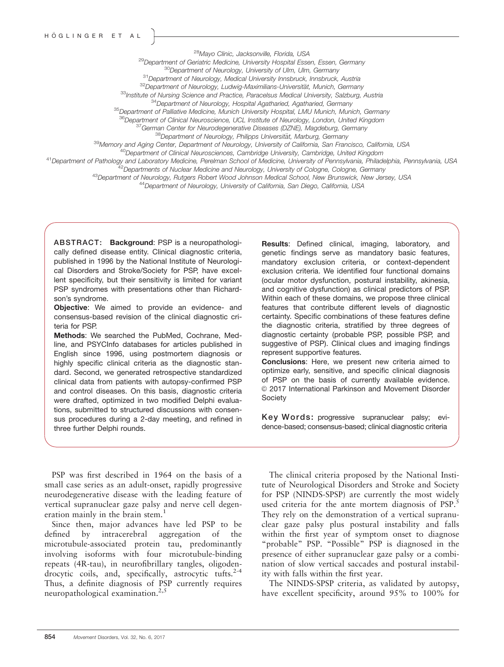<sup>28</sup>Mayo Clinic, Jacksonville, Florida, USA<br><sup>29</sup>Department of Geriatric Medicine, University Hospital Essen, Essen, Germany

<sup>30</sup>Department of Neurology, University of Ulm, Ulm, Germany<br><sup>31</sup>Department of Neurology, Medical University Innsbruck, Innsbruck, Austria

32Department of Neurology, Ludwig-Maximilians-Universität, Munich, Germany

<sup>33</sup>Institute of Nursing Science and Practice, Paracelsus Medical University, Salzburg, Austria <sup>34</sup>Department of Neurology, Hospital Agatharied, Agatharied, Germany

<sup>35</sup>Department of Palliative Medicine, Munich University Hospital, LMU Munich, Munich, Germany

<sup>36</sup>Department of Clinical Neuroscience, UCL Institute of Neurology, London, United Kingdom<br><sup>37</sup>German Center for Neurodegenerative Diseases (DZNE), Magdeburg, Germany

<sup>38</sup>Department of Neurology, Philipps Universität, Marburg, Germany<br><sup>39</sup>Memory and Aging Center, Department of Neurology, University of California, San Francisco, California, USA

<sup>10</sup>Department of Clinical Neurosciences, Cambridge University, Cambridge, United Kingdom

<sup>41</sup>Department of Pathology and Laboratory Medicine, Perelman School of Medicine, University of Pennsylvania, Philadelphia, Pennsylvania, USA<br><sup>42</sup>Departments of Nuclear Medicine and Neurology. University of Cologne. Cologn

43Department of Neurology, Rutgers Robert Wood Johnson Medical School, New Brunswick, New Jersey, USA

44 Department of Neurology, University of California, San Diego, California, USA

ABSTRACT: Background: PSP is a neuropathologically defined disease entity. Clinical diagnostic criteria, published in 1996 by the National Institute of Neurological Disorders and Stroke/Society for PSP, have excellent specificity, but their sensitivity is limited for variant PSP syndromes with presentations other than Richardson's syndrome.

Objective: We aimed to provide an evidence- and consensus-based revision of the clinical diagnostic criteria for PSP.

Methods: We searched the PubMed, Cochrane, Medline, and PSYCInfo databases for articles published in English since 1996, using postmortem diagnosis or highly specific clinical criteria as the diagnostic standard. Second, we generated retrospective standardized clinical data from patients with autopsy-confirmed PSP and control diseases. On this basis, diagnostic criteria were drafted, optimized in two modified Delphi evaluations, submitted to structured discussions with consensus procedures during a 2-day meeting, and refined in three further Delphi rounds.

Results: Defined clinical, imaging, laboratory, and genetic findings serve as mandatory basic features, mandatory exclusion criteria, or context-dependent exclusion criteria. We identified four functional domains (ocular motor dysfunction, postural instability, akinesia, and cognitive dysfunction) as clinical predictors of PSP. Within each of these domains, we propose three clinical features that contribute different levels of diagnostic certainty. Specific combinations of these features define the diagnostic criteria, stratified by three degrees of diagnostic certainty (probable PSP, possible PSP, and suggestive of PSP). Clinical clues and imaging findings represent supportive features.

Conclusions: Here, we present new criteria aimed to optimize early, sensitive, and specific clinical diagnosis of PSP on the basis of currently available evidence.  $©$  2017 International Parkinson and Movement Disorder **Society** 

Key Words: progressive supranuclear palsy; evidence-based; consensus-based; clinical diagnostic criteria

PSP was first described in 1964 on the basis of a small case series as an adult-onset, rapidly progressive neurodegenerative disease with the leading feature of vertical supranuclear gaze palsy and nerve cell degeneration mainly in the brain stem.<sup>1</sup>

Since then, major advances have led PSP to be defined by intracerebral aggregation of the microtubule-associated protein tau, predominantly involving isoforms with four microtubule-binding repeats (4R-tau), in neurofibrillary tangles, oligodendrocytic coils, and, specifically, astrocytic tufts.<sup>2-4</sup> Thus, a definite diagnosis of PSP currently requires neuropathological examination.<sup>2,5</sup>

The clinical criteria proposed by the National Institute of Neurological Disorders and Stroke and Society for PSP (NINDS-SPSP) are currently the most widely used criteria for the ante mortem diagnosis of PSP.<sup>5</sup> They rely on the demonstration of a vertical supranuclear gaze palsy plus postural instability and falls within the first year of symptom onset to diagnose "probable" PSP. "Possible" PSP is diagnosed in the presence of either supranuclear gaze palsy or a combination of slow vertical saccades and postural instability with falls within the first year.

The NINDS-SPSP criteria, as validated by autopsy, have excellent specificity, around 95% to 100% for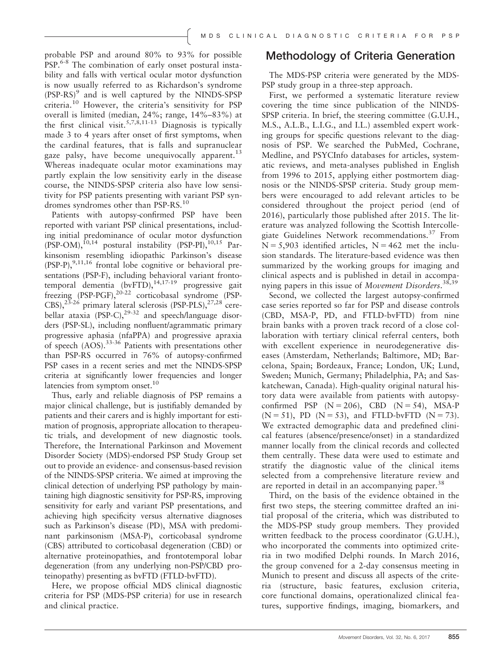probable PSP and around 80% to 93% for possible PSP.<sup>6-8</sup> The combination of early onset postural instability and falls with vertical ocular motor dysfunction is now usually referred to as Richardson's syndrome (PSP-RS)<sup>9</sup> and is well captured by the NINDS-SPSP criteria.<sup>10</sup> However, the criteria's sensitivity for PSP overall is limited (median, 24%; range, 14%–83%) at the first clinical visit.<sup>5,7,8,11-13</sup> Diagnosis is typically made 3 to 4 years after onset of first symptoms, when the cardinal features, that is falls and supranuclear gaze palsy, have become unequivocally apparent.<sup>13</sup> Whereas inadequate ocular motor examinations may partly explain the low sensitivity early in the disease course, the NINDS-SPSP criteria also have low sensitivity for PSP patients presenting with variant PSP syndromes syndromes other than PSP-RS.<sup>10</sup>

Patients with autopsy-confirmed PSP have been reported with variant PSP clinical presentations, including initial predominance of ocular motor dysfunction  $(PSP-OM),$ <sup>10,14</sup> postural instability (PSP-PI),<sup>10,15</sup> Parkinsonism resembling idiopathic Parkinson's disease  $(PSP-P)$ ,  $9,11,16$  frontal lobe cognitive or behavioral presentations (PSP-F), including behavioral variant frontotemporal dementia  $(bvFTD),^{14,17-19}$  progressive gait freezing (PSP-PGF),20-22 corticobasal syndrome (PSP- $CBS$ ),<sup>23-26</sup> primary lateral sclerosis (PSP-PLS),<sup>27,28</sup> cerebellar ataxia (PSP-C), $29-32$  and speech/language disorders (PSP-SL), including nonfluent/agrammatic primary progressive aphasia (nfaPPA) and progressive apraxia of speech (AOS).33-36 Patients with presentations other than PSP-RS occurred in 76% of autopsy-confirmed PSP cases in a recent series and met the NINDS-SPSP criteria at significantly lower frequencies and longer latencies from symptom onset.<sup>10</sup>

Thus, early and reliable diagnosis of PSP remains a major clinical challenge, but is justifiably demanded by patients and their carers and is highly important for estimation of prognosis, appropriate allocation to therapeutic trials, and development of new diagnostic tools. Therefore, the International Parkinson and Movement Disorder Society (MDS)-endorsed PSP Study Group set out to provide an evidence- and consensus-based revision of the NINDS-SPSP criteria. We aimed at improving the clinical detection of underlying PSP pathology by maintaining high diagnostic sensitivity for PSP-RS, improving sensitivity for early and variant PSP presentations, and achieving high specificity versus alternative diagnoses such as Parkinson's disease (PD), MSA with predominant parkinsonism (MSA-P), corticobasal syndrome (CBS) attributed to corticobasal degeneration (CBD) or alternative proteinopathies, and frontotemporal lobar degeneration (from any underlying non-PSP/CBD proteinopathy) presenting as bvFTD (FTLD-bvFTD).

Here, we propose official MDS clinical diagnostic criteria for PSP (MDS-PSP criteria) for use in research and clinical practice.

# Methodology of Criteria Generation

The MDS-PSP criteria were generated by the MDS-PSP study group in a three-step approach.

First, we performed a systematic literature review covering the time since publication of the NINDS-SPSP criteria. In brief, the steering committee (G.U.H., M.S., A.L.B., L.I.G., and I.L.) assembled expert working groups for specific questions relevant to the diagnosis of PSP. We searched the PubMed, Cochrane, Medline, and PSYCInfo databases for articles, systematic reviews, and meta-analyses published in English from 1996 to 2015, applying either postmortem diagnosis or the NINDS-SPSP criteria. Study group members were encouraged to add relevant articles to be considered throughout the project period (end of 2016), particularly those published after 2015. The literature was analyzed following the Scottish Intercollegiate Guidelines Network recommendations.<sup>37</sup> From  $N = 5,903$  identified articles,  $N = 462$  met the inclusion standards. The literature-based evidence was then summarized by the working groups for imaging and clinical aspects and is published in detail in accompanying papers in this issue of Movement Disorders.<sup>38,39</sup>

Second, we collected the largest autopsy-confirmed case series reported so far for PSP and disease controls (CBD, MSA-P, PD, and FTLD-bvFTD) from nine brain banks with a proven track record of a close collaboration with tertiary clinical referral centers, both with excellent experience in neurodegenerative diseases (Amsterdam, Netherlands; Baltimore, MD; Barcelona, Spain; Bordeaux, France; London, UK; Lund, Sweden; Munich, Germany; Philadelphia, PA; and Saskatchewan, Canada). High-quality original natural history data were available from patients with autopsyconfirmed PSP  $(N = 206)$ , CBD  $(N = 54)$ , MSA-P  $(N = 51)$ , PD  $(N = 53)$ , and FTLD-bvFTD  $(N = 73)$ . We extracted demographic data and predefined clinical features (absence/presence/onset) in a standardized manner locally from the clinical records and collected them centrally. These data were used to estimate and stratify the diagnostic value of the clinical items selected from a comprehensive literature review and are reported in detail in an accompanying paper.<sup>38</sup>

Third, on the basis of the evidence obtained in the first two steps, the steering committee drafted an initial proposal of the criteria, which was distributed to the MDS-PSP study group members. They provided written feedback to the process coordinator (G.U.H.), who incorporated the comments into optimized criteria in two modified Delphi rounds. In March 2016, the group convened for a 2-day consensus meeting in Munich to present and discuss all aspects of the criteria (structure, basic features, exclusion criteria, core functional domains, operationalized clinical features, supportive findings, imaging, biomarkers, and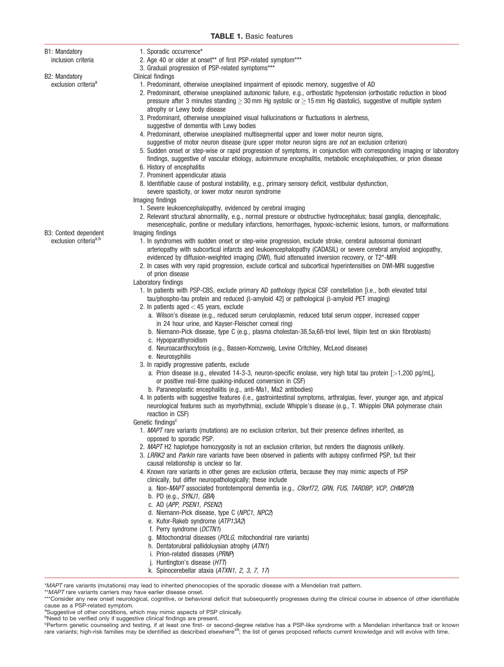B1: Mandatory

inclusion criteria

B2: Mandatory exclusion criteria<sup>a</sup>

B3: Context dependent exclusion criteria<sup>a,b</sup>

- 1. Sporadic occurrence\*
- 2. Age 40 or older at onset\*\* of first PSP-related symptom\*\*\*
- 3. Gradual progression of PSP-related symptoms\*\*\*

Clinical findings

- 1. Predominant, otherwise unexplained impairment of episodic memory, suggestive of AD
- 2. Predominant, otherwise unexplained autonomic failure, e.g., orthostatic hypotension (orthostatic reduction in blood pressure after 3 minutes standing  $\geq$  30 mm Hg systolic or  $\geq$  15 mm Hg diastolic), suggestive of multiple system atrophy or Lewy body disease
- 3. Predominant, otherwise unexplained visual hallucinations or fluctuations in alertness,
- suggestive of dementia with Lewy bodies
- 4. Predominant, otherwise unexplained multisegmental upper and lower motor neuron signs,
- suggestive of motor neuron disease (pure upper motor neuron signs are *not* an exclusion criterion)
- 5. Sudden onset or step-wise or rapid progression of symptoms, in conjunction with corresponding imaging or laboratory findings, suggestive of vascular etiology, autoimmune encephalitis, metabolic encephalopathies, or prion disease
- 6. History of encephalitis
- 7. Prominent appendicular ataxia
- 8. Identifiable cause of postural instability, e.g., primary sensory deficit, vestibular dysfunction, severe spasticity, or lower motor neuron syndrome

Imaging findings

- 1. Severe leukoencephalopathy, evidenced by cerebral imaging
- 2. Relevant structural abnormality, e.g., normal pressure or obstructive hydrocephalus; basal ganglia, diencephalic,
- mesencephalic, pontine or medullary infarctions, hemorrhages, hypoxic-ischemic lesions, tumors, or malformations Imaging findings
	- 1. In syndromes with sudden onset or step-wise progression, exclude stroke, cerebral autosomal dominant arteriopathy with subcortical infarcts and leukoencephalopathy (CADASIL) or severe cerebral amyloid angiopathy, evidenced by diffusion-weighted imaging (DWI), fluid attenuated inversion recovery, or T2\*-MRI
	- 2. In cases with very rapid progression, exclude cortical and subcortical hyperintensities on DWI-MRI suggestive of prion disease

#### Laboratory findings

- 1. In patients with PSP-CBS, exclude primary AD pathology (typical CSF constellation [i.e., both elevated total tau/phospho-tau protein and reduced  $\beta$ -amyloid 42] or pathological  $\beta$ -amyloid PET imaging)
- 2. In patients aged < 45 years, exclude
	- a. Wilson's disease (e.g., reduced serum ceruloplasmin, reduced total serum copper, increased copper in 24 hour urine, and Kayser-Fleischer corneal ring)
	- b. Niemann-Pick disease, type C (e.g., plasma cholestan-3ß,5a,6ß-triol level, filipin test on skin fibroblasts)
	- c. Hypoparathyroidism
	- d. Neuroacanthocytosis (e.g., Bassen-Kornzweig, Levine Critchley, McLeod disease)
	- e. Neurosyphilis
- 3. In rapidly progressive patients, exclude
	- a. Prion disease (e.g., elevated 14-3-3, neuron-specific enolase, very high total tau protein [>1,200 pg/mL], or positive real-time quaking-induced conversion in CSF)
	- b. Paraneoplastic encephalitis (e.g., anti-Ma1, Ma2 antibodies)
- 4. In patients with suggestive features (i.e., gastrointestinal symptoms, arthralgias, fever, younger age, and atypical neurological features such as myorhythmia), exclude Whipple's disease (e.g., T. Whipplei DNA polymerase chain reaction in CSF)

Genetic findings $c$ 

- 1. MAPT rare variants (mutations) are no exclusion criterion, but their presence defines inherited, as opposed to sporadic PSP.
- 2. MAPT H2 haplotype homozygosity is not an exclusion criterion, but renders the diagnosis unlikely.
- 3. LRRK2 and Parkin rare variants have been observed in patients with autopsy confirmed PSP, but their causal relationship is unclear so far.
- 4. Known rare variants in other genes are exclusion criteria, because they may mimic aspects of PSP clinically, but differ neuropathologically; these include
	- a. Non-MAPT associated frontotemporal dementia (e.g., C9orf72, GRN, FUS, TARDBP, VCP, CHMP2B)
	- b. PD (e.g., SYNJ1, GBA)
	- c. AD (APP, PSEN1, PSEN2)
	- d. Niemann-Pick disease, type C (NPC1, NPC2)
	- e. Kufor-Rakeb syndrome (ATP13A2)
	- f. Perry syndrome (DCTN1)
	- g. Mitochondrial diseases (POLG, mitochondrial rare variants)
	- h. Dentatorubral pallidoluysian atrophy (ATN1)
	- i. Prion-related diseases (PRNP)
	- j. Huntington's disease (HTT)
	- k. Spinocerebellar ataxia (ATXN1, 2, 3, 7, 17)

\*\*MAPT rare variants carriers may have earlier disease onset.

<sup>a</sup>Suggestive of other conditions, which may mimic aspects of PSP clinically.

<sup>\*</sup>MAPT rare variants (mutations) may lead to inherited phenocopies of the sporadic disease with a Mendelian trait pattern.

<sup>\*\*\*</sup>Consider any new onset neurological, cognitive, or behavioral deficit that subsequently progresses during the clinical course in absence of other identifiable cause as a PSP-related symptom.

<sup>&</sup>lt;sup>b</sup>Need to be verified only if suggestive clinical findings are present.

c Perform genetic counseling and testing, if at least one first- or second-degree relative has a PSP-like syndrome with a Mendelian inheritance trait or known rare variants; high-risk families may be identified as described elsewhere49; the list of genes proposed reflects current knowledge and will evolve with time.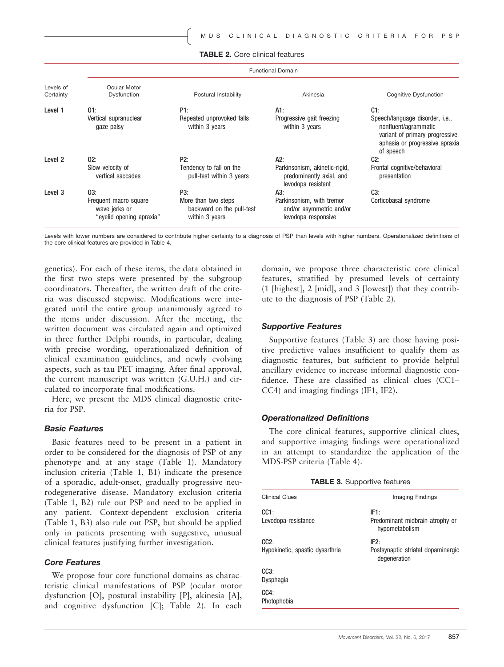#### TABLE 2. Core clinical features

|                        | <b>Functional Domain</b>                                           |                                                                    |                                                                                 |                                                                                                       |  |
|------------------------|--------------------------------------------------------------------|--------------------------------------------------------------------|---------------------------------------------------------------------------------|-------------------------------------------------------------------------------------------------------|--|
| Levels of<br>Certainty | Ocular Motor<br>Dysfunction                                        | Postural Instability                                               | Akinesia                                                                        | Cognitive Dysfunction                                                                                 |  |
| Level 1                | 01:<br>Vertical supranuclear                                       | P1:<br>Repeated unprovoked falls                                   | A1:<br>Progressive gait freezing                                                | C1:<br>Speech/language disorder, <i>i.e.</i> ,                                                        |  |
|                        | gaze palsy                                                         | within 3 years                                                     | within 3 years                                                                  | nonfluent/agrammatic<br>variant of primary progressive<br>aphasia or progressive apraxia<br>of speech |  |
| Level 2                | 02:                                                                | P2:                                                                | A2:                                                                             | $C2$ :                                                                                                |  |
|                        | Slow velocity of<br>vertical saccades                              | Tendency to fall on the<br>pull-test within 3 years                | Parkinsonism, akinetic-rigid,<br>predominantly axial, and<br>levodopa resistant | Frontal cognitive/behavioral<br>presentation                                                          |  |
| Level 3                | 03:                                                                | P3:                                                                | A3:                                                                             | $C3$ :                                                                                                |  |
|                        | Frequent macro square<br>wave jerks or<br>"eyelid opening apraxia" | More than two steps<br>backward on the pull-test<br>within 3 years | Parkinsonism, with tremor<br>and/or asymmetric and/or<br>levodopa responsive    | Corticobasal syndrome                                                                                 |  |

Levels with lower numbers are considered to contribute higher certainty to a diagnosis of PSP than levels with higher numbers. Operationalized definitions of the core clinical features are provided in Table 4.

genetics). For each of these items, the data obtained in the first two steps were presented by the subgroup coordinators. Thereafter, the written draft of the criteria was discussed stepwise. Modifications were integrated until the entire group unanimously agreed to the items under discussion. After the meeting, the written document was circulated again and optimized in three further Delphi rounds, in particular, dealing with precise wording, operationalized definition of clinical examination guidelines, and newly evolving aspects, such as tau PET imaging. After final approval, the current manuscript was written (G.U.H.) and circulated to incorporate final modifications.

Here, we present the MDS clinical diagnostic criteria for PSP.

#### Basic Features

Basic features need to be present in a patient in order to be considered for the diagnosis of PSP of any phenotype and at any stage (Table 1). Mandatory inclusion criteria (Table 1, B1) indicate the presence of a sporadic, adult-onset, gradually progressive neurodegenerative disease. Mandatory exclusion criteria (Table 1, B2) rule out PSP and need to be applied in any patient. Context-dependent exclusion criteria (Table 1, B3) also rule out PSP, but should be applied only in patients presenting with suggestive, unusual clinical features justifying further investigation.

### Core Features

We propose four core functional domains as characteristic clinical manifestations of PSP (ocular motor dysfunction [O], postural instability [P], akinesia [A], and cognitive dysfunction [C]; Table 2). In each

domain, we propose three characteristic core clinical features, stratified by presumed levels of certainty (1 [highest], 2 [mid], and 3 [lowest]) that they contribute to the diagnosis of PSP (Table 2).

#### Supportive Features

Supportive features (Table 3) are those having positive predictive values insufficient to qualify them as diagnostic features, but sufficient to provide helpful ancillary evidence to increase informal diagnostic confidence. These are classified as clinical clues (CC1– CC4) and imaging findings (IF1, IF2).

#### Operationalized Definitions

The core clinical features, supportive clinical clues, and supportive imaging findings were operationalized in an attempt to standardize the application of the MDS-PSP criteria (Table 4).

| <b>TABLE 3.</b> Supportive features |  |  |
|-------------------------------------|--|--|
|-------------------------------------|--|--|

| <b>Clinical Clues</b>                      | Imaging Findings                                           |  |  |
|--------------------------------------------|------------------------------------------------------------|--|--|
| CC1:<br>Levodopa-resistance                | IF1:<br>Predominant midbrain atrophy or<br>hypometabolism  |  |  |
| $CC2$ :<br>Hypokinetic, spastic dysarthria | IF2:<br>Postsynaptic striatal dopaminergic<br>degeneration |  |  |
| CC3:<br>Dysphagia                          |                                                            |  |  |
| CC4:<br>Photophobia                        |                                                            |  |  |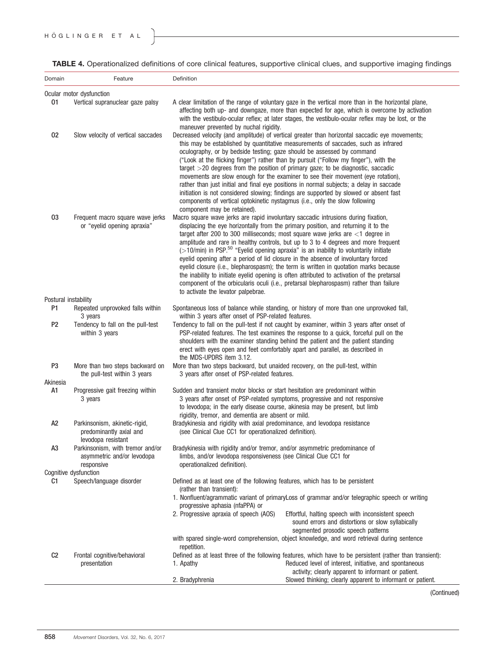TABLE 4. Operationalized definitions of core clinical features, supportive clinical clues, and supportive imaging findings

| Domain         | Feature                                                                        | Definition                                                                                                                                                                                                                                                                                                                                                                                                                                                                                                                                                                                                                                                                                                                                                                                                                                                                                                                                                                          |  |  |
|----------------|--------------------------------------------------------------------------------|-------------------------------------------------------------------------------------------------------------------------------------------------------------------------------------------------------------------------------------------------------------------------------------------------------------------------------------------------------------------------------------------------------------------------------------------------------------------------------------------------------------------------------------------------------------------------------------------------------------------------------------------------------------------------------------------------------------------------------------------------------------------------------------------------------------------------------------------------------------------------------------------------------------------------------------------------------------------------------------|--|--|
| 01             | Ocular motor dysfunction<br>Vertical supranuclear gaze palsy                   | A clear limitation of the range of voluntary gaze in the vertical more than in the horizontal plane,                                                                                                                                                                                                                                                                                                                                                                                                                                                                                                                                                                                                                                                                                                                                                                                                                                                                                |  |  |
|                |                                                                                | affecting both up- and downgaze, more than expected for age, which is overcome by activation<br>with the vestibulo-ocular reflex; at later stages, the vestibulo-ocular reflex may be lost, or the<br>maneuver prevented by nuchal rigidity.                                                                                                                                                                                                                                                                                                                                                                                                                                                                                                                                                                                                                                                                                                                                        |  |  |
| 02             | Slow velocity of vertical saccades                                             | Decreased velocity (and amplitude) of vertical greater than horizontal saccadic eye movements;<br>this may be established by quantitative measurements of saccades, such as infrared<br>oculography, or by bedside testing; gaze should be assessed by command<br>("Look at the flicking finger") rather than by pursuit ("Follow my finger"), with the<br>target $>$ 20 degrees from the position of primary gaze; to be diagnostic, saccadic<br>movements are slow enough for the examiner to see their movement (eye rotation),<br>rather than just initial and final eye positions in normal subjects; a delay in saccade<br>initiation is not considered slowing; findings are supported by slowed or absent fast                                                                                                                                                                                                                                                              |  |  |
| 03             | Frequent macro square wave jerks<br>or "eyelid opening apraxia"                | components of vertical optokinetic nystagmus (i.e., only the slow following<br>component may be retained).<br>Macro square wave jerks are rapid involuntary saccadic intrusions during fixation,<br>displacing the eye horizontally from the primary position, and returning it to the<br>target after 200 to 300 milliseconds; most square wave jerks are $<$ 1 degree in<br>amplitude and rare in healthy controls, but up to 3 to 4 degrees and more frequent<br>$($ >10/min) in PSP. <sup>50</sup> "Eyelid opening apraxia" is an inability to voluntarily initiate<br>eyelid opening after a period of lid closure in the absence of involuntary forced<br>eyelid closure (i.e., blepharospasm); the term is written in quotation marks because<br>the inability to initiate evelid opening is often attributed to activation of the pretarsal<br>component of the orbicularis oculi (i.e., pretarsal blepharospasm) rather than failure<br>to activate the levator palpebrae. |  |  |
| P1             | Postural instability<br>Repeated unprovoked falls within                       | Spontaneous loss of balance while standing, or history of more than one unprovoked fall,                                                                                                                                                                                                                                                                                                                                                                                                                                                                                                                                                                                                                                                                                                                                                                                                                                                                                            |  |  |
| P2             | 3 years<br>Tendency to fall on the pull-test<br>within 3 years                 | within 3 years after onset of PSP-related features.<br>Tendency to fall on the pull-test if not caught by examiner, within 3 years after onset of<br>PSP-related features. The test examines the response to a quick, forceful pull on the<br>shoulders with the examiner standing behind the patient and the patient standing<br>erect with eyes open and feet comfortably apart and parallel, as described in                                                                                                                                                                                                                                                                                                                                                                                                                                                                                                                                                                     |  |  |
| P <sub>3</sub> | More than two steps backward on<br>the pull-test within 3 years                | the MDS-UPDRS item 3.12.<br>More than two steps backward, but unaided recovery, on the pull-test, within<br>3 years after onset of PSP-related features.                                                                                                                                                                                                                                                                                                                                                                                                                                                                                                                                                                                                                                                                                                                                                                                                                            |  |  |
| Akinesia<br>A1 | Progressive gait freezing within<br>3 years                                    | Sudden and transient motor blocks or start hesitation are predominant within<br>3 years after onset of PSP-related symptoms, progressive and not responsive<br>to levodopa; in the early disease course, akinesia may be present, but limb                                                                                                                                                                                                                                                                                                                                                                                                                                                                                                                                                                                                                                                                                                                                          |  |  |
| A2             | Parkinsonism, akinetic-rigid,<br>predominantly axial and<br>levodopa resistant | rigidity, tremor, and dementia are absent or mild.<br>Bradykinesia and rigidity with axial predominance, and levodopa resistance<br>(see Clinical Clue CC1 for operationalized definition).                                                                                                                                                                                                                                                                                                                                                                                                                                                                                                                                                                                                                                                                                                                                                                                         |  |  |
| A3             | Parkinsonism, with tremor and/or<br>asymmetric and/or levodopa<br>responsive   | Bradykinesia with rigidity and/or tremor, and/or asymmetric predominance of<br>limbs, and/or levodopa responsiveness (see Clinical Clue CC1 for<br>operationalized definition).                                                                                                                                                                                                                                                                                                                                                                                                                                                                                                                                                                                                                                                                                                                                                                                                     |  |  |
|                | Cognitive dysfunction                                                          |                                                                                                                                                                                                                                                                                                                                                                                                                                                                                                                                                                                                                                                                                                                                                                                                                                                                                                                                                                                     |  |  |
| C1             | Speech/language disorder                                                       | Defined as at least one of the following features, which has to be persistent<br>(rather than transient):<br>1. Nonfluent/agrammatic variant of primaryLoss of grammar and/or telegraphic speech or writing<br>progressive aphasia (nfaPPA) or<br>2. Progressive apraxia of speech (AOS)<br>Effortful, halting speech with inconsistent speech<br>sound errors and distortions or slow syllabically<br>segmented prosodic speech patterns<br>with spared single-word comprehension, object knowledge, and word retrieval during sentence                                                                                                                                                                                                                                                                                                                                                                                                                                            |  |  |
| C2             | Frontal cognitive/behavioral<br>presentation                                   | repetition.<br>Defined as at least three of the following features, which have to be persistent (rather than transient):<br>Reduced level of interest, initiative, and spontaneous<br>1. Apathy<br>activity; clearly apparent to informant or patient.                                                                                                                                                                                                                                                                                                                                                                                                                                                                                                                                                                                                                                                                                                                              |  |  |
|                |                                                                                | Slowed thinking; clearly apparent to informant or patient.<br>2. Bradyphrenia                                                                                                                                                                                                                                                                                                                                                                                                                                                                                                                                                                                                                                                                                                                                                                                                                                                                                                       |  |  |

(Continued)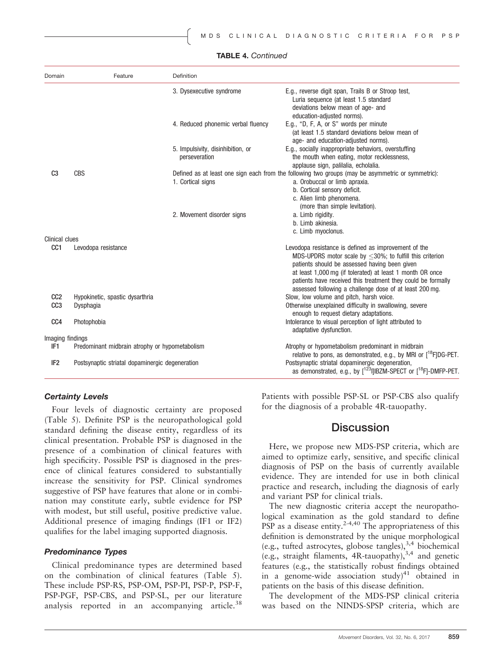| Domain                       | Feature                                         | Definition                                         |                                                                                                                                                                                                                                                                                                                                                                 |
|------------------------------|-------------------------------------------------|----------------------------------------------------|-----------------------------------------------------------------------------------------------------------------------------------------------------------------------------------------------------------------------------------------------------------------------------------------------------------------------------------------------------------------|
|                              |                                                 | 3. Dysexecutive syndrome                           | E.g., reverse digit span, Trails B or Stroop test,<br>Luria sequence (at least 1.5 standard<br>deviations below mean of age- and<br>education-adjusted norms).                                                                                                                                                                                                  |
|                              |                                                 | 4. Reduced phonemic verbal fluency                 | E.g., "D, F, A, or S" words per minute<br>(at least 1.5 standard deviations below mean of<br>age- and education-adjusted norms).                                                                                                                                                                                                                                |
|                              |                                                 | 5. Impulsivity, disinhibition, or<br>perseveration | E.g., socially inappropriate behaviors, overstuffing<br>the mouth when eating, motor recklessness,<br>applause sign, palilalia, echolalia.                                                                                                                                                                                                                      |
| C <sub>3</sub><br><b>CBS</b> |                                                 |                                                    | Defined as at least one sign each from the following two groups (may be asymmetric or symmetric):                                                                                                                                                                                                                                                               |
|                              |                                                 | 1. Cortical signs                                  | a. Orobuccal or limb apraxia.<br>b. Cortical sensory deficit.<br>c. Alien limb phenomena.<br>(more than simple levitation).                                                                                                                                                                                                                                     |
|                              |                                                 | 2. Movement disorder signs                         | a. Limb rigidity.<br>b. Limb akinesia.<br>c. Limb myoclonus.                                                                                                                                                                                                                                                                                                    |
| Clinical clues               |                                                 |                                                    |                                                                                                                                                                                                                                                                                                                                                                 |
| CC <sub>1</sub>              | Levodopa resistance                             |                                                    | Levodopa resistance is defined as improvement of the<br>MDS-UPDRS motor scale by $\leq$ 30%; to fulfill this criterion<br>patients should be assessed having been given<br>at least 1,000 mg (if tolerated) at least 1 month OR once<br>patients have received this treatment they could be formally<br>assessed following a challenge dose of at least 200 mg. |
| CC <sub>2</sub>              | Hypokinetic, spastic dysarthria                 |                                                    | Slow, low volume and pitch, harsh voice.                                                                                                                                                                                                                                                                                                                        |
| CC <sub>3</sub>              | Dysphagia                                       |                                                    | Otherwise unexplained difficulty in swallowing, severe<br>enough to request dietary adaptations.                                                                                                                                                                                                                                                                |
| CC4                          | Photophobia                                     |                                                    | Intolerance to visual perception of light attributed to<br>adaptative dysfunction.                                                                                                                                                                                                                                                                              |
| Imaging findings             |                                                 |                                                    |                                                                                                                                                                                                                                                                                                                                                                 |
| IF <sub>1</sub>              | Predominant midbrain atrophy or hypometabolism  |                                                    | Atrophy or hypometabolism predominant in midbrain<br>relative to pons, as demonstrated, e.g., by MRI or $[^{18}F]DG-PET$ .                                                                                                                                                                                                                                      |
| IF <sub>2</sub>              | Postsynaptic striatal dopaminergic degeneration |                                                    | Postsynaptic striatal dopaminergic degeneration,<br>as demonstrated, e.g., by $[^{123}$ [IBZM-SPECT or $[^{18}F]$ -DMFP-PET.                                                                                                                                                                                                                                    |

#### TABLE 4. Continued

### Certainty Levels

Four levels of diagnostic certainty are proposed (Table 5). Definite PSP is the neuropathological gold standard defining the disease entity, regardless of its clinical presentation. Probable PSP is diagnosed in the presence of a combination of clinical features with high specificity. Possible PSP is diagnosed in the presence of clinical features considered to substantially increase the sensitivity for PSP. Clinical syndromes suggestive of PSP have features that alone or in combination may constitute early, subtle evidence for PSP with modest, but still useful, positive predictive value. Additional presence of imaging findings (IF1 or IF2) qualifies for the label imaging supported diagnosis.

### Predominance Types

Clinical predominance types are determined based on the combination of clinical features (Table 5). These include PSP-RS, PSP-OM, PSP-PI, PSP-P, PSP-F, PSP-PGF, PSP-CBS, and PSP-SL, per our literature analysis reported in an accompanying article.<sup>38</sup> Patients with possible PSP-SL or PSP-CBS also qualify for the diagnosis of a probable 4R-tauopathy.

## **Discussion**

Here, we propose new MDS-PSP criteria, which are aimed to optimize early, sensitive, and specific clinical diagnosis of PSP on the basis of currently available evidence. They are intended for use in both clinical practice and research, including the diagnosis of early and variant PSP for clinical trials.

The new diagnostic criteria accept the neuropathological examination as the gold standard to define  $\overrightarrow{PSP}$  as a disease entity.<sup>2-4,40</sup> The appropriateness of this definition is demonstrated by the unique morphological (e.g., tufted astrocytes, globose tangles), $3,4$  biochemical (e.g., straight filaments,  $4R$ -tauopathy), $3,4$  and genetic features (e.g., the statistically robust findings obtained in a genome-wide association study) $41$  obtained in patients on the basis of this disease definition.

The development of the MDS-PSP clinical criteria was based on the NINDS-SPSP criteria, which are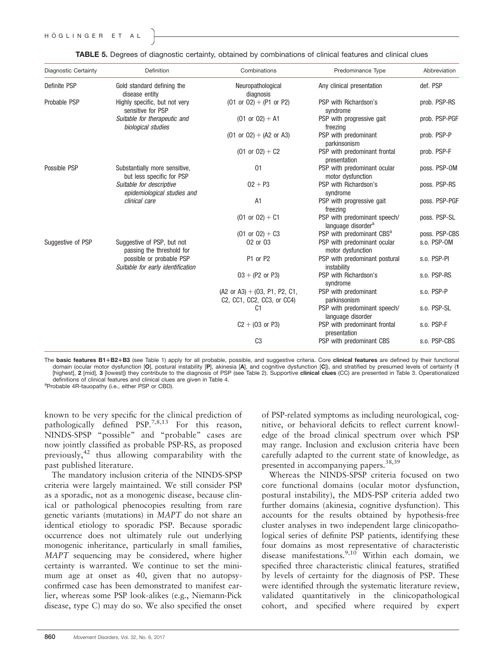| <b>Diagnostic Certainty</b> | Definition                                                    | Combinations                                                                                                                            | Predominance Type                                              | Abbreviation  |
|-----------------------------|---------------------------------------------------------------|-----------------------------------------------------------------------------------------------------------------------------------------|----------------------------------------------------------------|---------------|
| Definite PSP                | Gold standard defining the<br>disease entity                  | Neuropathological<br>diagnosis                                                                                                          | Any clinical presentation                                      | def. PSP      |
| Probable PSP                | Highly specific, but not very<br>sensitive for PSP            | $(01$ or $02$ ) + (P1 or P2)                                                                                                            | PSP with Richardson's<br>syndrome                              | prob. PSP-RS  |
|                             | Suitable for therapeutic and<br>biological studies            | $(01$ or $02$ ) + A1                                                                                                                    | PSP with progressive gait<br>freezing                          | prob. PSP-PGF |
|                             |                                                               | $(01$ or $02$ ) + (A2 or A3)                                                                                                            | PSP with predominant<br>parkinsonism                           | prob. PSP-P   |
|                             |                                                               | $(01$ or $02$ ) + C2                                                                                                                    | PSP with predominant frontal<br>presentation                   | prob. PSP-F   |
| Possible PSP                | Substantially more sensitive,<br>but less specific for PSP    | 01                                                                                                                                      | PSP with predominant ocular<br>motor dysfunction               | poss. PSP-OM  |
|                             | Suitable for descriptive<br>epidemiological studies and       | $02 + P3$                                                                                                                               | PSP with Richardson's<br>syndrome                              | poss. PSP-RS  |
|                             | clinical care                                                 | A <sub>1</sub>                                                                                                                          | PSP with progressive gait<br>freezing                          | poss. PSP-PGF |
|                             |                                                               | $(01$ or $02$ ) + C1                                                                                                                    | PSP with predominant speech/<br>language disorder <sup>a</sup> | poss. PSP-SL  |
|                             |                                                               | $(01$ or $02$ ) + C3                                                                                                                    | PSP with predominant CBS <sup>a</sup>                          | poss. PSP-CBS |
| Suggestive of PSP           | Suggestive of PSP, but not<br>passing the threshold for       | 02 or 03                                                                                                                                | PSP with predominant ocular<br>motor dysfunction               | s.o. PSP-OM   |
|                             | possible or probable PSP<br>Suitable for early identification | P1 or P2                                                                                                                                | PSP with predominant postural<br>instability                   | s.o. PSP-PI   |
|                             |                                                               | $03 + (P2 \text{ or } P3)$                                                                                                              | PSP with Richardson's<br>syndrome                              | s.o. PSP-RS   |
|                             |                                                               | $(A2 \text{ or } A3) + (03, P1, P2, C1,$<br>C <sub>2</sub> , C <sub>C1</sub> , C <sub>C2</sub> , C <sub>C3</sub> , or C <sub>C4</sub> ) | PSP with predominant<br>parkinsonism                           | s.o. PSP-P    |
|                             |                                                               | C <sub>1</sub>                                                                                                                          | PSP with predominant speech/<br>language disorder              | s.o. PSP-SL   |
|                             |                                                               | $C2 + (03 \text{ or } P3)$                                                                                                              | PSP with predominant frontal<br>presentation                   | s.o. PSP-F    |
|                             |                                                               | C <sub>3</sub>                                                                                                                          | PSP with predominant CBS                                       | s.o. PSP-CBS  |

TABLE 5. Degrees of diagnostic certainty, obtained by combinations of clinical features and clinical clues

The basic features B1+B2+B3 (see Table 1) apply for all probable, possible, and suggestive criteria. Core clinical features are defined by their functional domain (ocular motor dysfunction [O], postural instability [P], akinesia [A], and cognitive dysfunction [C]), and stratified by presumed levels of certainty (1 [highest], 2 [mid], 3 [lowest]) they contribute to the diagnosis of PSP (see Table 2). Supportive clinical clues (CC) are presented in Table 3. Operationalized definitions of clinical features and clinical clues are given in Table 4.

aProbable 4R-tauopathy (i.e., either PSP or CBD).

known to be very specific for the clinical prediction of pathologically defined PSP.<sup>7,8,13</sup> For this reason. NINDS-SPSP "possible" and "probable" cases are now jointly classified as probable PSP-RS, as proposed previously,<sup>42</sup> thus allowing comparability with the past published literature.

The mandatory inclusion criteria of the NINDS-SPSP criteria were largely maintained. We still consider PSP as a sporadic, not as a monogenic disease, because clinical or pathological phenocopies resulting from rare genetic variants (mutations) in MAPT do not share an identical etiology to sporadic PSP. Because sporadic occurrence does not ultimately rule out underlying monogenic inheritance, particularly in small families, MAPT sequencing may be considered, where higher certainty is warranted. We continue to set the minimum age at onset as 40, given that no autopsyconfirmed case has been demonstrated to manifest earlier, whereas some PSP look-alikes (e.g., Niemann-Pick disease, type C) may do so. We also specified the onset of PSP-related symptoms as including neurological, cognitive, or behavioral deficits to reflect current knowledge of the broad clinical spectrum over which PSP may range. Inclusion and exclusion criteria have been carefully adapted to the current state of knowledge, as presented in accompanying papers.<sup>38,39</sup>

Whereas the NINDS-SPSP criteria focused on two core functional domains (ocular motor dysfunction, postural instability), the MDS-PSP criteria added two further domains (akinesia, cognitive dysfunction). This accounts for the results obtained by hypothesis-free cluster analyses in two independent large clinicopathological series of definite PSP patients, identifying these four domains as most representative of characteristic disease manifestations. <sup>9,10</sup> Within each domain, we specified three characteristic clinical features, stratified by levels of certainty for the diagnosis of PSP. These were identified through the systematic literature review, validated quantitatively in the clinicopathological cohort, and specified where required by expert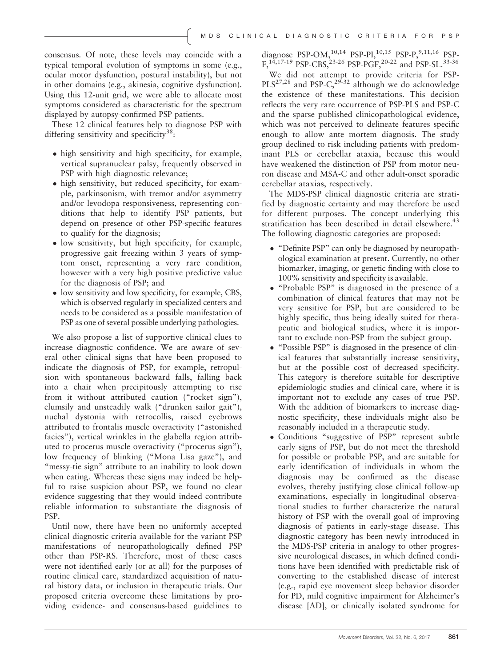consensus. Of note, these levels may coincide with a typical temporal evolution of symptoms in some (e.g., ocular motor dysfunction, postural instability), but not in other domains (e.g., akinesia, cognitive dysfunction). Using this 12-unit grid, we were able to allocate most symptoms considered as characteristic for the spectrum displayed by autopsy-confirmed PSP patients.

These 12 clinical features help to diagnose PSP with differing sensitivity and specificity<sup>38</sup>:

- high sensitivity and high specificity, for example, vertical supranuclear palsy, frequently observed in PSP with high diagnostic relevance;
- high sensitivity, but reduced specificity, for example, parkinsonism, with tremor and/or asymmetry and/or levodopa responsiveness, representing conditions that help to identify PSP patients, but depend on presence of other PSP-specific features to qualify for the diagnosis;
- low sensitivity, but high specificity, for example, progressive gait freezing within 3 years of symptom onset, representing a very rare condition, however with a very high positive predictive value for the diagnosis of PSP; and
- low sensitivity and low specificity, for example, CBS, which is observed regularly in specialized centers and needs to be considered as a possible manifestation of PSP as one of several possible underlying pathologies.

We also propose a list of supportive clinical clues to increase diagnostic confidence. We are aware of several other clinical signs that have been proposed to indicate the diagnosis of PSP, for example, retropulsion with spontaneous backward falls, falling back into a chair when precipitously attempting to rise from it without attributed caution ("rocket sign"), clumsily and unsteadily walk ("drunken sailor gait"), nuchal dystonia with retrocollis, raised eyebrows attributed to frontalis muscle overactivity ("astonished facies"), vertical wrinkles in the glabella region attributed to procerus muscle overactivity ("procerus sign"), low frequency of blinking ("Mona Lisa gaze"), and "messy-tie sign" attribute to an inability to look down when eating. Whereas these signs may indeed be helpful to raise suspicion about PSP, we found no clear evidence suggesting that they would indeed contribute reliable information to substantiate the diagnosis of PSP.

Until now, there have been no uniformly accepted clinical diagnostic criteria available for the variant PSP manifestations of neuropathologically defined PSP other than PSP-RS. Therefore, most of these cases were not identified early (or at all) for the purposes of routine clinical care, standardized acquisition of natural history data, or inclusion in therapeutic trials. Our proposed criteria overcome these limitations by providing evidence- and consensus-based guidelines to diagnose PSP-OM,<sup>10,14</sup> PSP-PI,<sup>10,15</sup> PSP-P,<sup>9,11,16</sup> PSP-F,<sup>14,17-19</sup> PSP-CBS,<sup>23-26</sup> PSP-PGF,<sup>20-22</sup> and PSP-SL.<sup>33-36</sup>

We did not attempt to provide criteria for PSP- $PLS<sup>27,28</sup>$  and PSP-C,<sup>29-32</sup> although we do acknowledge the existence of these manifestations. This decision reflects the very rare occurrence of PSP-PLS and PSP-C and the sparse published clinicopathological evidence, which was not perceived to delineate features specific enough to allow ante mortem diagnosis. The study group declined to risk including patients with predominant PLS or cerebellar ataxia, because this would have weakened the distinction of PSP from motor neuron disease and MSA-C and other adult-onset sporadic cerebellar ataxias, respectively.

The MDS-PSP clinical diagnostic criteria are stratified by diagnostic certainty and may therefore be used for different purposes. The concept underlying this stratification has been described in detail elsewhere.<sup>43</sup> The following diagnostic categories are proposed:

- "Definite PSP" can only be diagnosed by neuropathological examination at present. Currently, no other biomarker, imaging, or genetic finding with close to 100% sensitivity and specificity is available.
- "Probable PSP" is diagnosed in the presence of a combination of clinical features that may not be very sensitive for PSP, but are considered to be highly specific, thus being ideally suited for therapeutic and biological studies, where it is important to exclude non-PSP from the subject group.
- "Possible PSP" is diagnosed in the presence of clinical features that substantially increase sensitivity, but at the possible cost of decreased specificity. This category is therefore suitable for descriptive epidemiologic studies and clinical care, where it is important not to exclude any cases of true PSP. With the addition of biomarkers to increase diagnostic specificity, these individuals might also be reasonably included in a therapeutic study.
- Conditions "suggestive of PSP" represent subtle early signs of PSP, but do not meet the threshold for possible or probable PSP, and are suitable for early identification of individuals in whom the diagnosis may be confirmed as the disease evolves, thereby justifying close clinical follow-up examinations, especially in longitudinal observational studies to further characterize the natural history of PSP with the overall goal of improving diagnosis of patients in early-stage disease. This diagnostic category has been newly introduced in the MDS-PSP criteria in analogy to other progressive neurological diseases, in which defined conditions have been identified with predictable risk of converting to the established disease of interest (e.g., rapid eye movement sleep behavior disorder for PD, mild cognitive impairment for Alzheimer's disease [AD], or clinically isolated syndrome for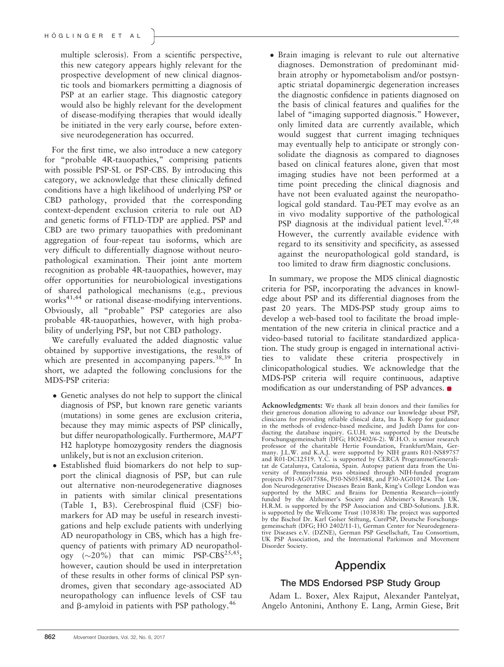multiple sclerosis). From a scientific perspective, this new category appears highly relevant for the prospective development of new clinical diagnostic tools and biomarkers permitting a diagnosis of PSP at an earlier stage. This diagnostic category would also be highly relevant for the development of disease-modifying therapies that would ideally be initiated in the very early course, before extensive neurodegeneration has occurred.

For the first time, we also introduce a new category for "probable 4R-tauopathies," comprising patients with possible PSP-SL or PSP-CBS. By introducing this category, we acknowledge that these clinically defined conditions have a high likelihood of underlying PSP or CBD pathology, provided that the corresponding context-dependent exclusion criteria to rule out AD and genetic forms of FTLD-TDP are applied. PSP and CBD are two primary tauopathies with predominant aggregation of four-repeat tau isoforms, which are very difficult to differentially diagnose without neuropathological examination. Their joint ante mortem recognition as probable 4R-tauopathies, however, may offer opportunities for neurobiological investigations of shared pathological mechanisms (e.g., previous works<sup>41,44</sup> or rational disease-modifying interventions. Obviously, all "probable" PSP categories are also probable 4R-tauopathies, however, with high probability of underlying PSP, but not CBD pathology.

We carefully evaluated the added diagnostic value obtained by supportive investigations, the results of which are presented in accompanying papers.  $38,39$  In short, we adapted the following conclusions for the MDS-PSP criteria:

- Genetic analyses do not help to support the clinical diagnosis of PSP, but known rare genetic variants (mutations) in some genes are exclusion criteria, because they may mimic aspects of PSP clinically, but differ neuropathologically. Furthermore, MAPT H2 haplotype homozygosity renders the diagnosis unlikely, but is not an exclusion criterion.
- Established fluid biomarkers do not help to support the clinical diagnosis of PSP, but can rule out alternative non-neurodegenerative diagnoses in patients with similar clinical presentations (Table 1, B3). Cerebrospinal fluid (CSF) biomarkers for AD may be useful in research investigations and help exclude patients with underlying AD neuropathology in CBS, which has a high frequency of patients with primary AD neuropathology  $(\sim 20\%)$  that can mimic PSP-CBS<sup>25,45</sup>; however, caution should be used in interpretation of these results in other forms of clinical PSP syndromes, given that secondary age-associated AD neuropathology can influence levels of CSF tau and  $\beta$ -amyloid in patients with PSP pathology.<sup>46</sup>

 Brain imaging is relevant to rule out alternative diagnoses. Demonstration of predominant midbrain atrophy or hypometabolism and/or postsynaptic striatal dopaminergic degeneration increases the diagnostic confidence in patients diagnosed on the basis of clinical features and qualifies for the label of "imaging supported diagnosis." However, only limited data are currently available, which would suggest that current imaging techniques may eventually help to anticipate or strongly consolidate the diagnosis as compared to diagnoses based on clinical features alone, given that most imaging studies have not been performed at a time point preceding the clinical diagnosis and have not been evaluated against the neuropathological gold standard. Tau-PET may evolve as an in vivo modality supportive of the pathological PSP diagnosis at the individual patient level. $47,48$ However, the currently available evidence with regard to its sensitivity and specificity, as assessed against the neuropathological gold standard, is too limited to draw firm diagnostic conclusions.

In summary, we propose the MDS clinical diagnostic criteria for PSP, incorporating the advances in knowledge about PSP and its differential diagnoses from the past 20 years. The MDS-PSP study group aims to develop a web-based tool to facilitate the broad implementation of the new criteria in clinical practice and a video-based tutorial to facilitate standardized application. The study group is engaged in international activities to validate these criteria prospectively in clinicopathological studies. We acknowledge that the MDS-PSP criteria will require continuous, adaptive modification as our understanding of PSP advances.

Acknowledgments: We thank all brain donors and their families for their generous donation allowing to advance our knowledge about PSP, clinicians for providing reliable clinical data, Ina B. Kopp for guidance in the methods of evidence-based medicine, and Judith Dams for conducting the database inquiry. G.U.H. was supported by the Deutsche Forschungsgemeinschaft (DFG; HO2402/6-2). W.H.O. is senior research professor of the charitable Hertie Foundation, Frankfurt/Main, Germany. J.L.W. and K.A.J. were supported by NIH grants R01-NS89757 and R01-DC12519. Y.C. is supported by CERCA Programme/Generalitat de Catalunya, Catalonia, Spain. Autopsy patient data from the University of Pennsylvania was obtained through NIH-funded program projects P01-AG017586, P50-NS053488, and P30-AG010124. The London Neurodegenerative Diseases Brain Bank, King's College London was supported by the MRC and Brains for Dementia Research—jointly funded by the Alzheimer's Society and Alzheimer's Research UK. H.R.M. is supported by the PSP Association and CBD-Solutions. J.B.R. is supported by the Wellcome Trust (103838) The project was supported by the Bischof Dr. Karl Golser Stiftung, CurePSP, Deutsche Forschungsgemeinschaft (DFG; HO 2402/11-1), German Center for Neurodegenerative Diseases e.V. (DZNE), German PSP Gesellschaft, Tau Consortium, UK PSP Association, and the International Parkinson and Movement Disorder Society.

# Appendix

### The MDS Endorsed PSP Study Group

Adam L. Boxer, Alex Rajput, Alexander Pantelyat, Angelo Antonini, Anthony E. Lang, Armin Giese, Brit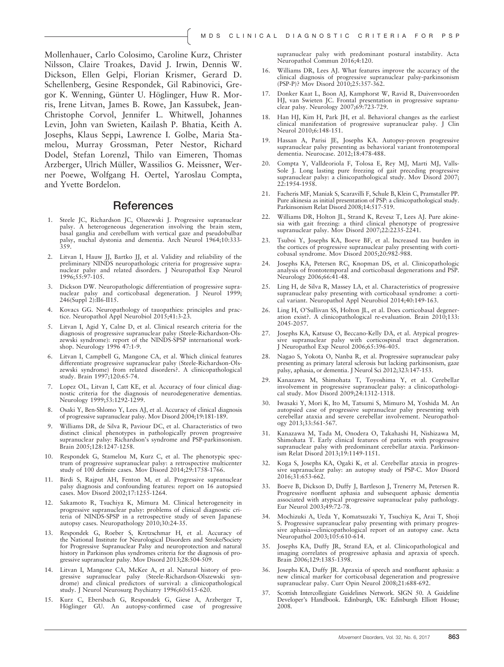Mollenhauer, Carlo Colosimo, Caroline Kurz, Christer Nilsson, Claire Troakes, David J. Irwin, Dennis W. Dickson, Ellen Gelpi, Florian Krismer, Gerard D. Schellenberg, Gesine Respondek, Gil Rabinovici, Gregor K. Wenning, Günter U. Höglinger, Huw R. Morris, Irene Litvan, James B. Rowe, Jan Kassubek, Jean-Christophe Corvol, Jennifer L. Whitwell, Johannes Levin, John van Swieten, Kailash P. Bhatia, Keith A. Josephs, Klaus Seppi, Lawrence I. Golbe, Maria Stamelou, Murray Grossman, Peter Nestor, Richard Dodel, Stefan Lorenzl, Thilo van Eimeren, Thomas Arzberger, Ulrich Müller, Wassilios G. Meissner, Werner Poewe, Wolfgang H. Oertel, Yaroslau Compta, and Yvette Bordelon.

## **References**

- 1. Steele JC, Richardson JC, Olszewski J. Progressive supranuclear palsy. A heterogeneous degeneration involving the brain stem, basal ganglia and cerebellum with vertical gaze and pseudobulbar palsy, nuchal dystonia and dementia. Arch Neurol 1964;10:333- 359.
- 2. Litvan I, Hauw JJ, Bartko JJ, et al. Validity and reliability of the preliminary NINDS neuropathologic criteria for progressive supranuclear palsy and related disorders. J Neuropathol Exp Neurol 1996;55:97-105.
- 3. Dickson DW. Neuropathologic differentiation of progressive supranuclear palsy and corticobasal degeneration. J Neurol 1999; 246(Suppl 2):II6-II15.
- 4. Kovacs GG. Neuropathology of tauopathies: principles and practice. Neuropathol Appl Neurobiol 2015;41:3-23.
- 5. Litvan I, Agid Y, Calne D, et al. Clinical research criteria for the diagnosis of progressive supranuclear palsy (Steele-Richardson-Olszewski syndrome): report of the NINDS-SPSP international workshop. Neurology 1996 47:1-9.
- 6. Litvan I, Campbell G, Mangone CA, et al. Which clinical features differentiate progressive supranuclear palsy (Steele-Richardson-Olszewski syndrome) from related disorders?. A clinicopathological study. Brain 1997;120:65-74.
- 7. Lopez OL, Litvan I, Catt KE, et al. Accuracy of four clinical diagnostic criteria for the diagnosis of neurodegenerative dementias. Neurology 1999;53:1292-1299.
- 8. Osaki Y, Ben-Shlomo Y, Lees AJ, et al. Accuracy of clinical diagnosis of progressive supranuclear palsy. Mov Disord 2004;19:181-189.
- 9. Williams DR, de Silva R, Paviour DC, et al. Characteristics of two distinct clinical phenotypes in pathologically proven progressive supranuclear palsy: Richardson's syndrome and PSP-parkinsonism. Brain 2005;128:1247-1258.
- 10. Respondek G, Stamelou M, Kurz C, et al. The phenotypic spectrum of progressive supranuclear palsy: a retrospective multicenter study of 100 definite cases. Mov Disord 2014;29:1758-1766.
- 11. Birdi S, Rajput AH, Fenton M, et al. Progressive supranuclear palsy diagnosis and confounding features: report on 16 autopsied cases. Mov Disord 2002;17:1255-1264.
- 12. Sakamoto R, Tsuchiya K, Mimura M. Clinical heterogeneity in progressive supranuclear palsy: problems of clinical diagnostic criteria of NINDS-SPSP in a retrospective study of seven Japanese autopsy cases. Neuropathology 2010;30:24-35.
- 13. Respondek G, Roeber S, Kretzschmar H, et al. Accuracy of the National Institute for Neurological Disorders and Stroke/Society for Progressive Supranuclear Palsy and neuroprotection and natural history in Parkinson plus syndromes criteria for the diagnosis of progressive supranuclear palsy. Mov Disord 2013;28:504-509.
- 14. Litvan I, Mangone CA, McKee A, et al. Natural history of progressive supranuclear palsy (Steele-Richardson-Olszewski syndrome) and clinical predictors of survival: a clinicopathological study. J Neurol Neurosurg Psychiatry 1996;60:615-620.
- 15. Kurz C, Ebersbach G, Respondek G, Giese A, Arzberger T, Höglinger GU. An autopsy-confirmed case of progressive

supranuclear palsy with predominant postural instability. Acta Neuropathol Commun 2016;4:120.

- 16. Williams DR, Lees AJ. What features improve the accuracy of the clinical diagnosis of progressive supranuclear palsy-parkinsonism (PSP-P)? Mov Disord 2010;25:357-362.
- 17. Donker Kaat L, Boon AJ, Kamphorst W, Ravid R, Duivenvoorden HJ, van Swieten JC. Frontal presentation in progressive supranuclear palsy. Neurology 2007;69:723-729.
- 18. Han HJ, Kim H, Park JH, et al. Behavioral changes as the earliest clinical manifestation of progressive supranuclear palsy. J Clin Neurol 2010;6:148-151.
- 19. Hassan A, Parisi JE, Josephs KA. Autopsy-proven progressive supranuclear palsy presenting as behavioral variant frontotemporal dementia. Neurocase. 2012;18:478-488.
- Compta Y, Valldeoriola F, Tolosa E, Rey MJ, Marti MJ, Valls-Sole J. Long lasting pure freezing of gait preceding progressive supranuclear palsy: a clinicopathological study. Mov Disord 2007; 22:1954-1958.
- 21. Facheris MF, Maniak S, Scaravilli F, Schule B, Klein C, Pramstaller PP. Pure akinesia as initial presentation of PSP: a clinicopathological study. Parkinsonism Relat Disord 2008;14:517-519.
- 22. Williams DR, Holton JL, Strand K, Revesz T, Lees AJ. Pure akinesia with gait freezing: a third clinical phenotype of progressive supranuclear palsy. Mov Disord 2007;22:2235-2241.
- 23. Tsuboi Y, Josephs KA, Boeve BF, et al. Increased tau burden in the cortices of progressive supranuclear palsy presenting with corticobasal syndrome. Mov Disord 2005;20:982-988.
- 24. Josephs KA, Petersen RC, Knopman DS, et al. Clinicopathologic analysis of frontotemporal and corticobasal degenerations and PSP. Neurology 2006;66:41-48.
- 25. Ling H, de Silva R, Massey LA, et al. Characteristics of progressive supranuclear palsy presenting with corticobasal syndrome: a cortical variant. Neuropathol Appl Neurobiol 2014;40:149-163.
- 26. Ling H, O'Sullivan SS, Holton JL, et al. Does corticobasal degeneration exist?. A clinicopathological re-evaluation. Brain 2010;133: 2045-2057.
- 27. Josephs KA, Katsuse O, Beccano-Kelly DA, et al. Atypical progressive supranuclear palsy with corticospinal tract degeneration. J Neuropathol Exp Neurol 2006;65:396-405.
- 28. Nagao S, Yokota O, Nanba R, et al. Progressive supranuclear palsy presenting as primary lateral sclerosis but lacking parkinsonism, gaze palsy, aphasia, or dementia. J Neurol Sci 2012;323:147-153.
- Kanazawa M, Shimohata T, Toyoshima Y, et al. Cerebellar involvement in progressive supranuclear palsy: a clinicopathological study. Mov Disord 2009;24:1312-1318.
- 30. Iwasaki Y, Mori K, Ito M, Tatsumi S, Mimuro M, Yoshida M. An autopsied case of progressive supranuclear palsy presenting with cerebellar ataxia and severe cerebellar involvement. Neuropathology 2013;33:561-567.
- 31. Kanazawa M, Tada M, Onodera O, Takahashi H, Nishizawa M, Shimohata T. Early clinical features of patients with progressive supranuclear palsy with predominant cerebellar ataxia. Parkinsonism Relat Disord 2013;19:1149-1151.
- 32. Koga S, Josephs KA, Ogaki K, et al. Cerebellar ataxia in progressive supranuclear palsy: an autopsy study of PSP-C. Mov Disord 2016;31:653-662.
- 33. Boeve B, Dickson D, Duffy J, Bartleson J, Trenerry M, Petersen R. Progressive nonfluent aphasia and subsequent aphasic dementia associated with atypical progressive supranuclear palsy pathology. Eur Neurol 2003;49:72-78.
- 34. Mochizuki A, Ueda Y, Komatsuzaki Y, Tsuchiya K, Arai T, Shoji S. Progressive supranuclear palsy presenting with primary progressive aphasia—clinicopathological report of an autopsy case. Acta Neuropathol 2003;105:610-614.
- 35. Josephs KA, Duffy JR, Strand EA, et al. Clinicopathological and imaging correlates of progressive aphasia and apraxia of speech. Brain 2006;129:1385-1398.
- 36. Josephs KA, Duffy JR. Apraxia of speech and nonfluent aphasia: a new clinical marker for corticobasal degeneration and progressive supranuclear palsy. Curr Opin Neurol 2008;21:688-692.
- Scottish Intercollegiate Guidelines Network. SIGN 50. A Guideline Developer's Handbook. Edinburgh, UK: Edinburgh Elliott House; 2008.